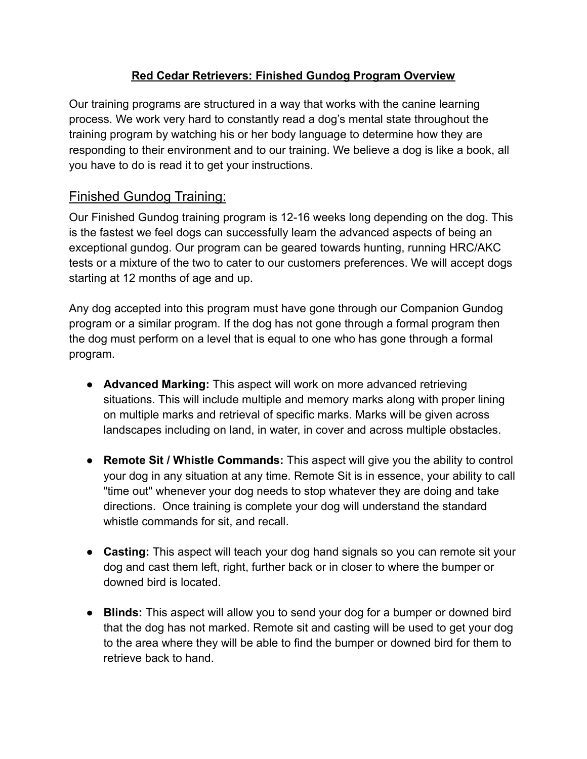## **Red Cedar Retrievers: Finished Gundog Program Overview**

Our training programs are structured in a way that works with the canine learning process. We work very hard to constantly read a dog's mental state throughout the training program by watching his or her body language to determine how they are responding to their environment and to our training. We believe a dog is like a book, all you have to do is read it to get your instructions.

## Finished Gundog Training:

Our Finished Gundog training program is 12-16 weeks long depending on the dog. This is the fastest we feel dogs can successfully learn the advanced aspects of being an exceptional gundog. Our program can be geared towards hunting, running HRC/AKC tests or a mixture of the two to cater to our customers preferences. We will accept dogs starting at 12 months of age and up.

Any dog accepted into this program must have gone through our Companion Gundog program or a similar program. If the dog has not gone through a formal program then the dog must perform on a level that is equal to one who has gone through a formal program.

- **Advanced Marking:** This aspect will work on more advanced retrieving situations. This will include multiple and memory marks along with proper lining on multiple marks and retrieval of specific marks. Marks will be given across landscapes including on land, in water, in cover and across multiple obstacles.
- **Remote Sit / Whistle Commands:** This aspect will give you the ability to control your dog in any situation at any time. Remote Sit is in essence, your ability to call "time out" whenever your dog needs to stop whatever they are doing and take directions. Once training is complete your dog will understand the standard whistle commands for sit, and recall.
- **● Casting:** This aspect will teach your dog hand signals so you can remote sit your dog and cast them left, right, further back or in closer to where the bumper or downed bird is located.
- **Blinds:** This aspect will allow you to send your dog for a bumper or downed bird that the dog has not marked. Remote sit and casting will be used to get your dog to the area where they will be able to find the bumper or downed bird for them to retrieve back to hand.